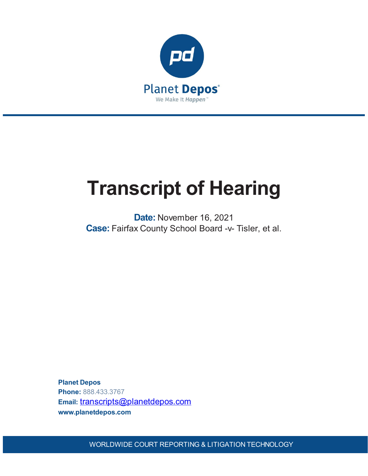

# **Transcript of Hearing**

**Date:** November 16, 2021 **Case:** Fairfax County School Board -v- Tisler, et al.

**Planet Depos Phone:** 888.433.3767 Email: [transcripts@planetdepos.com](mailto:transcripts@planetdepos.com) **www.planetdepos.com**

WORLDWIDE COURT REPORTING & LITIGATION TECHNOLOGY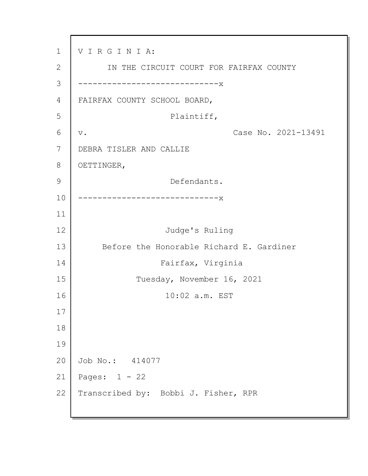1 2 3 4 5 6 7 8 9 10 11 12 13 14 15 16 17 18 19 20 21 22 V I R G I N I A: IN THE CIRCUIT COURT FOR FAIRFAX COUNTY -----------------x FAIRFAX COUNTY SCHOOL BOARD, Plaintiff, v. Case No. 2021-13491 DEBRA TISLER AND CALLIE OETTINGER, Defendants. -----------------------------x Judge's Ruling Before the Honorable Richard E. Gardiner Fairfax, Virginia Tuesday, November 16, 2021 10:02 a.m. EST Job No.: 414077 Pages: 1 - 22 Transcribed by: Bobbi J. Fisher, RPR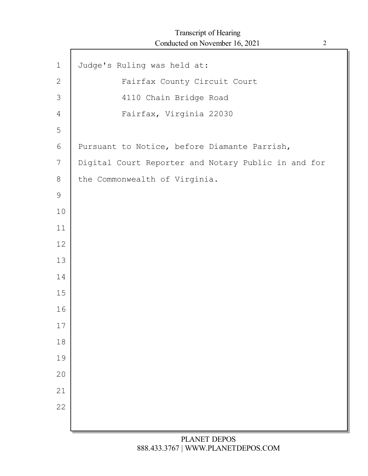| $\mathbf 1$    | Judge's Ruling was held at:                         |
|----------------|-----------------------------------------------------|
| 2              | Fairfax County Circuit Court                        |
| 3              | 4110 Chain Bridge Road                              |
|                |                                                     |
| $\overline{4}$ | Fairfax, Virginia 22030                             |
| 5              |                                                     |
| 6              | Pursuant to Notice, before Diamante Parrish,        |
| 7              | Digital Court Reporter and Notary Public in and for |
| 8              | the Commonwealth of Virginia.                       |
| $\mathsf 9$    |                                                     |
| 10             |                                                     |
| 11             |                                                     |
| 12             |                                                     |
| 13             |                                                     |
| 14             |                                                     |
| 15             |                                                     |
| 16             |                                                     |
|                |                                                     |
| $17$           |                                                     |
| 18             |                                                     |
| 19             |                                                     |
| 20             |                                                     |
| 21             |                                                     |
| 22             |                                                     |
|                |                                                     |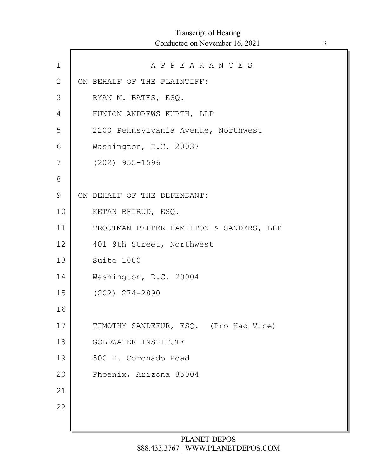| $\mathbf 1$ | APPEARANCES                             |
|-------------|-----------------------------------------|
| 2           | ON BEHALF OF THE PLAINTIFF:             |
| 3           | RYAN M. BATES, ESQ.                     |
| 4           | HUNTON ANDREWS KURTH, LLP               |
| 5           | 2200 Pennsylvania Avenue, Northwest     |
| 6           | Washington, D.C. 20037                  |
| 7           | $(202)$ 955-1596                        |
| 8           |                                         |
| 9           | ON BEHALF OF THE DEFENDANT:             |
| 10          | KETAN BHIRUD, ESQ.                      |
| 11          | TROUTMAN PEPPER HAMILTON & SANDERS, LLP |
| 12          | 401 9th Street, Northwest               |
| 13          | Suite 1000                              |
| 14          | Washington, D.C. 20004                  |
| 15          | $(202)$ $274 - 2890$                    |
| 16          |                                         |
| 17          | TIMOTHY SANDEFUR, ESQ. (Pro Hac Vice)   |
| 18          | GOLDWATER INSTITUTE                     |
| 19          | 500 E. Coronado Road                    |
| 20          | Phoenix, Arizona 85004                  |
| 21          |                                         |
| 22          |                                         |
|             |                                         |

Г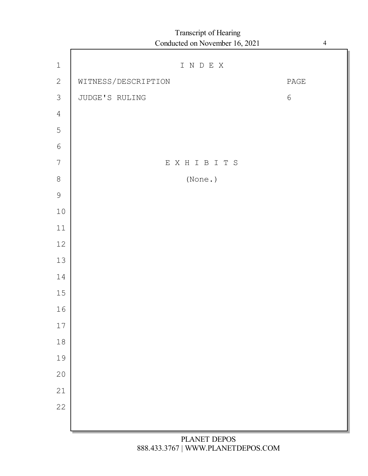## I N D E X WITNESS/DESCRIPTION PAGE JUDGE'S RULING 6 E X H I B I T S (None.) Transcript of Hearing Conducted on November 16, 2021 4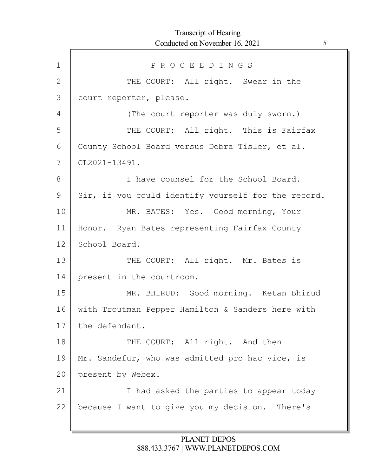| $\mathbf 1$  | PROCEEDINGS                                         |
|--------------|-----------------------------------------------------|
| $\mathbf{2}$ | THE COURT: All right. Swear in the                  |
| 3            | court reporter, please.                             |
| 4            | (The court reporter was duly sworn.)                |
| 5            | THE COURT: All right. This is Fairfax               |
| 6            | County School Board versus Debra Tisler, et al.     |
| 7            | CL2021-13491.                                       |
| 8            | I have counsel for the School Board.                |
| 9            | Sir, if you could identify yourself for the record. |
| 10           | MR. BATES: Yes. Good morning, Your                  |
| 11           | Honor. Ryan Bates representing Fairfax County       |
| 12           | School Board.                                       |
| 13           | THE COURT: All right. Mr. Bates is                  |
| 14           | present in the courtroom.                           |
| 15           | MR. BHIRUD: Good morning. Ketan Bhirud              |
| 16           | with Troutman Pepper Hamilton & Sanders here with   |
| 17           | the defendant.                                      |
| 18           | THE COURT: All right. And then                      |
| 19           | Mr. Sandefur, who was admitted pro hac vice, is     |
| 20           | present by Webex.                                   |
| 21           | I had asked the parties to appear today             |
| 22           | because I want to give you my decision. There's     |
|              |                                                     |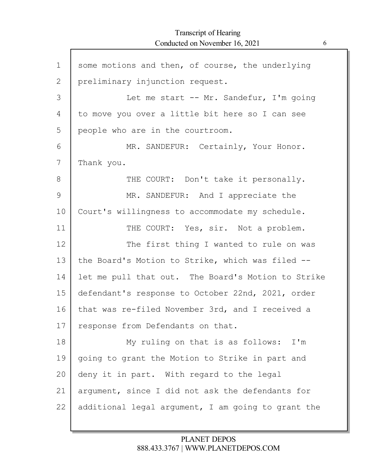| $\mathbf 1$ | some motions and then, of course, the underlying   |
|-------------|----------------------------------------------------|
| 2           | preliminary injunction request.                    |
| 3           | Let me start -- Mr. Sandefur, I'm going            |
| 4           | to move you over a little bit here so I can see    |
| 5           | people who are in the courtroom.                   |
| 6           | MR. SANDEFUR: Certainly, Your Honor.               |
| 7           | Thank you.                                         |
| 8           | THE COURT: Don't take it personally.               |
| 9           | MR. SANDEFUR: And I appreciate the                 |
| 10          | Court's willingness to accommodate my schedule.    |
| 11          | THE COURT: Yes, sir. Not a problem.                |
| 12          | The first thing I wanted to rule on was            |
| 13          | the Board's Motion to Strike, which was filed --   |
| 14          | let me pull that out. The Board's Motion to Strike |
| 15          | defendant's response to October 22nd, 2021, order  |
| 16          | that was re-filed November 3rd, and I received a   |
| 17          | response from Defendants on that.                  |
| 18          | My ruling on that is as follows: I'm               |
| 19          | going to grant the Motion to Strike in part and    |
| 20          | deny it in part. With regard to the legal          |
| 21          | argument, since I did not ask the defendants for   |
| 22          | additional legal argument, I am going to grant the |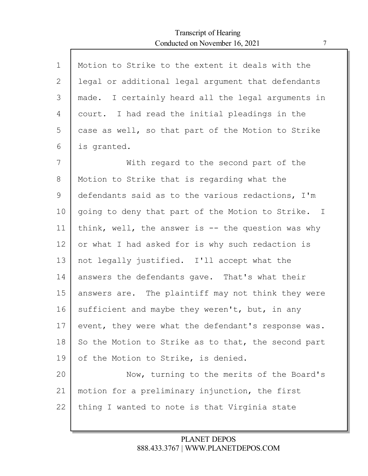| $\mathbf{1}$ | Motion to Strike to the extent it deals with the    |
|--------------|-----------------------------------------------------|
| 2            | legal or additional legal argument that defendants  |
| 3            | made. I certainly heard all the legal arguments in  |
| 4            | court. I had read the initial pleadings in the      |
| 5            | case as well, so that part of the Motion to Strike  |
| 6            | is granted.                                         |
| 7            | With regard to the second part of the               |
| 8            | Motion to Strike that is regarding what the         |
| 9            | defendants said as to the various redactions, I'm   |
| 10           | going to deny that part of the Motion to Strike. I  |
| 11           | think, well, the answer is $-$ the question was why |
| 12           | or what I had asked for is why such redaction is    |
| 13           | not legally justified. I'll accept what the         |
| 14           | answers the defendants gave. That's what their      |
| 15           | answers are. The plaintiff may not think they were  |
| 16           | sufficient and maybe they weren't, but, in any      |
| 17           | event, they were what the defendant's response was. |
| 18           | So the Motion to Strike as to that, the second part |
| 19           | of the Motion to Strike, is denied.                 |
| 20           | Now, turning to the merits of the Board's           |
| 21           | motion for a preliminary injunction, the first      |
| 22           | thing I wanted to note is that Virginia state       |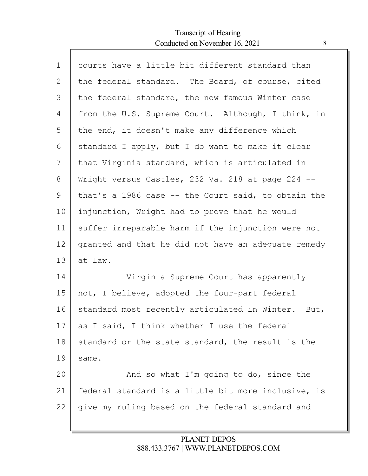Г

| $\mathbf 1$ | courts have a little bit different standard than      |
|-------------|-------------------------------------------------------|
| 2           | the federal standard. The Board, of course, cited     |
| 3           | the federal standard, the now famous Winter case      |
| 4           | from the U.S. Supreme Court. Although, I think, in    |
| 5           | the end, it doesn't make any difference which         |
| 6           | standard I apply, but I do want to make it clear      |
| 7           | that Virginia standard, which is articulated in       |
| 8           | Wright versus Castles, 232 Va. 218 at page 224 --     |
| 9           | that's a 1986 case $-$ the Court said, to obtain the  |
| 10          | injunction, Wright had to prove that he would         |
| 11          | suffer irreparable harm if the injunction were not    |
| 12          | granted and that he did not have an adequate remedy   |
| 13          | at law.                                               |
| 14          | Virginia Supreme Court has apparently                 |
| 15          | not, I believe, adopted the four-part federal         |
| 16          | standard most recently articulated in Winter.<br>But, |
| 17          | as I said, I think whether I use the federal          |
| 18          | standard or the state standard, the result is the     |
| 19          | same.                                                 |
| 20          | And so what I'm going to do, since the                |
| 21          | federal standard is a little bit more inclusive, is   |
| 22          | give my ruling based on the federal standard and      |
|             |                                                       |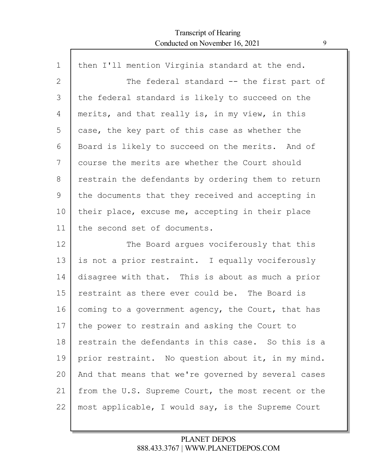Г

| $\mathbf 1$ | then I'll mention Virginia standard at the end.     |
|-------------|-----------------------------------------------------|
| 2           | The federal standard -- the first part of           |
| 3           | the federal standard is likely to succeed on the    |
| 4           | merits, and that really is, in my view, in this     |
| 5           | case, the key part of this case as whether the      |
| 6           | Board is likely to succeed on the merits. And of    |
| 7           | course the merits are whether the Court should      |
| 8           | restrain the defendants by ordering them to return  |
| 9           | the documents that they received and accepting in   |
| 10          | their place, excuse me, accepting in their place    |
| 11          | the second set of documents.                        |
| 12          | The Board argues vociferously that this             |
| 13          | is not a prior restraint. I equally vociferously    |
| 14          | disagree with that. This is about as much a prior   |
| 15          | restraint as there ever could be. The Board is      |
| 16          | coming to a government agency, the Court, that has  |
| 17          | the power to restrain and asking the Court to       |
| 18          | restrain the defendants in this case. So this is a  |
| 19          | prior restraint. No question about it, in my mind.  |
| 20          | And that means that we're governed by several cases |
| 21          | from the U.S. Supreme Court, the most recent or the |
| 22          | most applicable, I would say, is the Supreme Court  |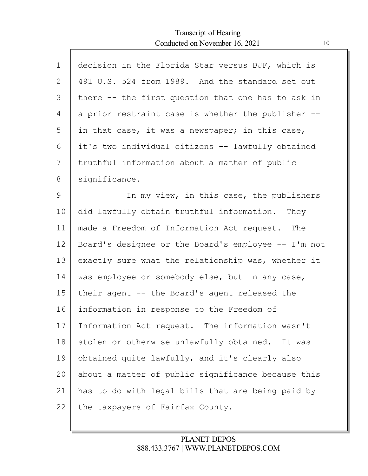Г

| $\mathbf 1$ | decision in the Florida Star versus BJF, which is   |
|-------------|-----------------------------------------------------|
| 2           | 491 U.S. 524 from 1989. And the standard set out    |
| 3           | there -- the first question that one has to ask in  |
| 4           | a prior restraint case is whether the publisher --  |
| 5           | in that case, it was a newspaper; in this case,     |
| 6           | it's two individual citizens -- lawfully obtained   |
| 7           | truthful information about a matter of public       |
| 8           | significance.                                       |
| 9           | In my view, in this case, the publishers            |
| 10          | did lawfully obtain truthful information. They      |
| 11          | made a Freedom of Information Act request. The      |
| 12          | Board's designee or the Board's employee -- I'm not |
| 13          | exactly sure what the relationship was, whether it  |
| 14          | was employee or somebody else, but in any case,     |
| 15          | their agent -- the Board's agent released the       |
| 16          | information in response to the Freedom of           |
| 17          | Information Act request. The information wasn't     |
| 18          | stolen or otherwise unlawfully obtained. It was     |
| 19          | obtained quite lawfully, and it's clearly also      |
| 20          | about a matter of public significance because this  |
| 21          | has to do with legal bills that are being paid by   |
| 22          | the taxpayers of Fairfax County.                    |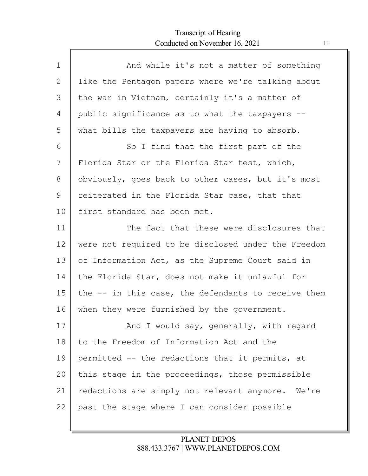| $\mathbf 1$ | And while it's not a matter of something            |
|-------------|-----------------------------------------------------|
| 2           | like the Pentagon papers where we're talking about  |
| 3           | the war in Vietnam, certainly it's a matter of      |
| 4           | public significance as to what the taxpayers --     |
| 5           | what bills the taxpayers are having to absorb.      |
| 6           | So I find that the first part of the                |
| 7           | Florida Star or the Florida Star test, which,       |
| 8           | obviously, goes back to other cases, but it's most  |
| 9           | reiterated in the Florida Star case, that that      |
| 10          | first standard has been met.                        |
| 11          | The fact that these were disclosures that           |
| 12          | were not required to be disclosed under the Freedom |
| 13          | of Information Act, as the Supreme Court said in    |
| 14          | the Florida Star, does not make it unlawful for     |
| 15          | the -- in this case, the defendants to receive them |
| 16          | when they were furnished by the government.         |
| 17          | And I would say, generally, with regard             |
| 18          | to the Freedom of Information Act and the           |
| 19          | permitted -- the redactions that it permits, at     |
| 20          | this stage in the proceedings, those permissible    |
| 21          | redactions are simply not relevant anymore. We're   |
| 22          | past the stage where I can consider possible        |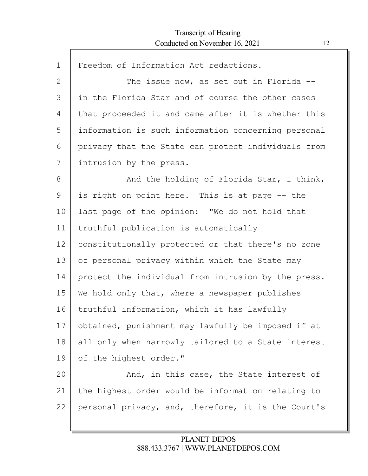| $\mathbf 1$ | Freedom of Information Act redactions.              |
|-------------|-----------------------------------------------------|
| 2           | The issue now, as set out in Florida $-$ -          |
| 3           | in the Florida Star and of course the other cases   |
| 4           | that proceeded it and came after it is whether this |
| 5           | information is such information concerning personal |
| 6           | privacy that the State can protect individuals from |
| 7           | intrusion by the press.                             |
| 8           | And the holding of Florida Star, I think,           |
| 9           | is right on point here. This is at page -- the      |
| 10          | last page of the opinion: "We do not hold that      |
| 11          | truthful publication is automatically               |
| 12          | constitutionally protected or that there's no zone  |
| 13          | of personal privacy within which the State may      |
| 14          | protect the individual from intrusion by the press. |
| 15          | We hold only that, where a newspaper publishes      |
| 16          | truthful information, which it has lawfully         |
| 17          | obtained, punishment may lawfully be imposed if at  |
| 18          | all only when narrowly tailored to a State interest |
| 19          | of the highest order."                              |
| 20          | And, in this case, the State interest of            |
| 21          | the highest order would be information relating to  |
| 22          | personal privacy, and, therefore, it is the Court's |
|             |                                                     |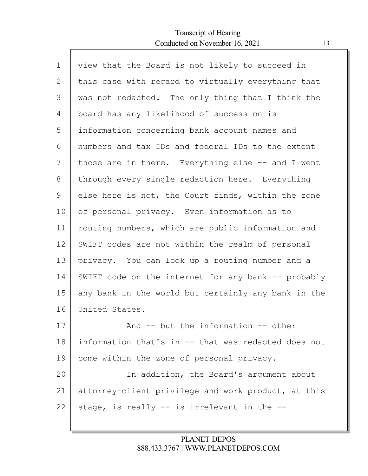Г

| $\mathbf 1$ | view that the Board is not likely to succeed in     |
|-------------|-----------------------------------------------------|
| 2           | this case with regard to virtually everything that  |
| 3           | was not redacted. The only thing that I think the   |
| 4           | board has any likelihood of success on is           |
| 5           | information concerning bank account names and       |
| 6           | numbers and tax IDs and federal IDs to the extent   |
| 7           | those are in there. Everything else -- and I went   |
| 8           | through every single redaction here. Everything     |
| 9           | else here is not, the Court finds, within the zone  |
| 10          | of personal privacy. Even information as to         |
| 11          | routing numbers, which are public information and   |
| 12          | SWIFT codes are not within the realm of personal    |
| 13          | privacy. You can look up a routing number and a     |
| 14          | SWIFT code on the internet for any bank -- probably |
| 15          | any bank in the world but certainly any bank in the |
| 16          | United States.                                      |
| 17          | And -- but the information -- other                 |
| 18          | information that's in -- that was redacted does not |
| 19          | come within the zone of personal privacy.           |
| 20          | In addition, the Board's argument about             |
| 21          | attorney-client privilege and work product, at this |
| 22          | stage, is really -- is irrelevant in the --         |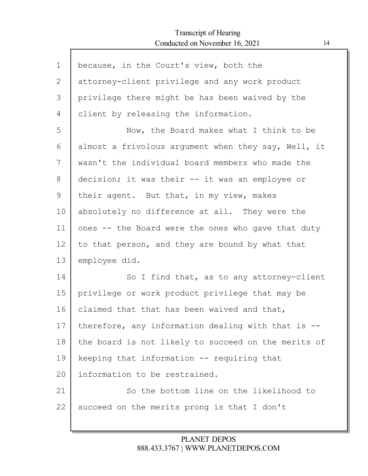Г

| $\mathbf 1$ | because, in the Court's view, both the              |
|-------------|-----------------------------------------------------|
| 2           | attorney-client privilege and any work product      |
| 3           | privilege there might be has been waived by the     |
| 4           | client by releasing the information.                |
| 5           | Now, the Board makes what I think to be             |
| 6           | almost a frivolous argument when they say, Well, it |
| 7           | wasn't the individual board members who made the    |
| 8           | decision; it was their -- it was an employee or     |
| 9           | their agent. But that, in my view, makes            |
| 10          | absolutely no difference at all. They were the      |
| 11          | ones -- the Board were the ones who gave that duty  |
| 12          | to that person, and they are bound by what that     |
| 13          | employee did.                                       |
| 14          | So I find that, as to any attorney-client           |
| 15          | privilege or work product privilege that may be     |
| 16          | claimed that that has been waived and that,         |
| 17          | therefore, any information dealing with that is --  |
| 18          | the board is not likely to succeed on the merits of |
| 19          | keeping that information -- requiring that          |
| 20          | information to be restrained.                       |
| 21          | So the bottom line on the likelihood to             |
| 22          | succeed on the merits prong is that I don't         |
|             |                                                     |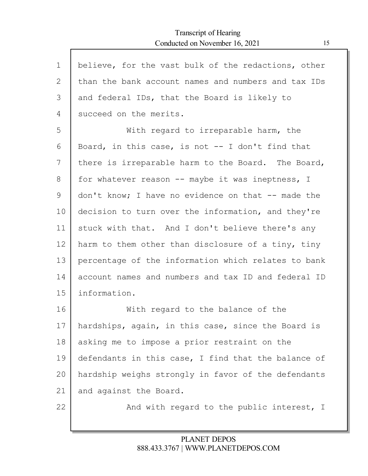Г

| $\mathbf 1$ | believe, for the vast bulk of the redactions, other |
|-------------|-----------------------------------------------------|
| 2           | than the bank account names and numbers and tax IDs |
| 3           | and federal IDs, that the Board is likely to        |
| 4           | succeed on the merits.                              |
| 5           | With regard to irreparable harm, the                |
| 6           | Board, in this case, is not $-$ - I don't find that |
| 7           | there is irreparable harm to the Board. The Board,  |
| 8           | for whatever reason -- maybe it was ineptness, I    |
| 9           | don't know; I have no evidence on that -- made the  |
| 10          | decision to turn over the information, and they're  |
| 11          | stuck with that. And I don't believe there's any    |
| 12          | harm to them other than disclosure of a tiny, tiny  |
| 13          | percentage of the information which relates to bank |
| 14          | account names and numbers and tax ID and federal ID |
| 15          | information.                                        |
| 16          | With regard to the balance of the                   |
| 17          | hardships, again, in this case, since the Board is  |
| 18          | asking me to impose a prior restraint on the        |
| 19          | defendants in this case, I find that the balance of |
| 20          | hardship weighs strongly in favor of the defendants |
| 21          | and against the Board.                              |
| 22          | And with regard to the public interest, I           |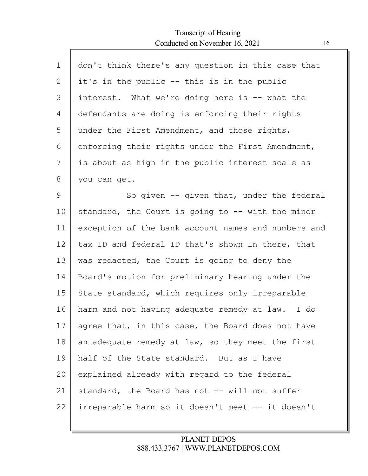$\Gamma$ 

| $\mathbf 1$ | don't think there's any question in this case that  |
|-------------|-----------------------------------------------------|
| 2           | it's in the public -- this is in the public         |
| 3           | interest. What we're doing here is -- what the      |
| 4           | defendants are doing is enforcing their rights      |
| 5           | under the First Amendment, and those rights,        |
| 6           | enforcing their rights under the First Amendment,   |
| 7           | is about as high in the public interest scale as    |
| 8           | you can get.                                        |
| 9           | So given -- given that, under the federal           |
| 10          | standard, the Court is going to -- with the minor   |
| 11          | exception of the bank account names and numbers and |
| 12          | tax ID and federal ID that's shown in there, that   |
| 13          | was redacted, the Court is going to deny the        |
| 14          | Board's motion for preliminary hearing under the    |
| 15          | State standard, which requires only irreparable     |
| 16          | harm and not having adequate remedy at law.<br>I do |
| 17          | agree that, in this case, the Board does not have   |
| 18          | an adequate remedy at law, so they meet the first   |
| 19          | half of the State standard. But as I have           |
| 20          | explained already with regard to the federal        |
| 21          | standard, the Board has not -- will not suffer      |
| 22          | irreparable harm so it doesn't meet -- it doesn't   |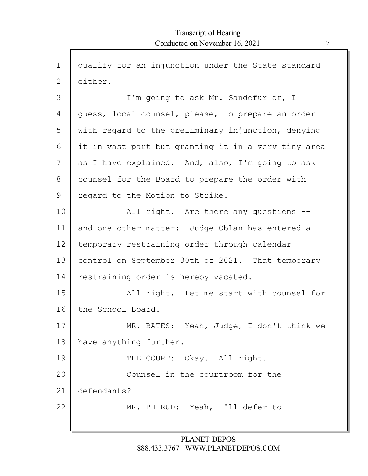$\mathsf{r}$ 

| $\mathbf 1$ | qualify for an injunction under the State standard  |
|-------------|-----------------------------------------------------|
| 2           | either.                                             |
| 3           | I'm going to ask Mr. Sandefur or, I                 |
| 4           | quess, local counsel, please, to prepare an order   |
| 5           | with regard to the preliminary injunction, denying  |
| 6           | it in vast part but granting it in a very tiny area |
| 7           | as I have explained. And, also, I'm going to ask    |
| 8           | counsel for the Board to prepare the order with     |
| 9           | regard to the Motion to Strike.                     |
| 10          | All right. Are there any questions --               |
| 11          | and one other matter: Judge Oblan has entered a     |
| 12          | temporary restraining order through calendar        |
| 13          | control on September 30th of 2021. That temporary   |
| 14          | restraining order is hereby vacated.                |
| 15          | All right. Let me start with counsel for            |
| 16          | the School Board.                                   |
| 17          | MR. BATES: Yeah, Judge, I don't think we            |
| 18          | have anything further.                              |
| 19          | THE COURT: Okay. All right.                         |
| 20          | Counsel in the courtroom for the                    |
| 21          | defendants?                                         |
| 22          | MR. BHIRUD: Yeah, I'll defer to                     |
|             |                                                     |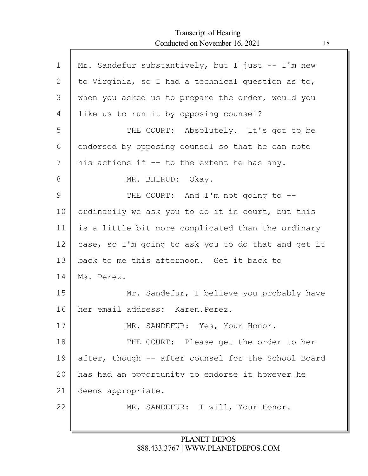| $\mathbf 1$ | Mr. Sandefur substantively, but I just -- I'm new   |
|-------------|-----------------------------------------------------|
| 2           | to Virginia, so I had a technical question as to,   |
| 3           | when you asked us to prepare the order, would you   |
| 4           | like us to run it by opposing counsel?              |
| 5           | THE COURT: Absolutely. It's got to be               |
| 6           | endorsed by opposing counsel so that he can note    |
| 7           | his actions if -- to the extent he has any.         |
| 8           | MR. BHIRUD: Okay.                                   |
| 9           | THE COURT: And I'm not going to --                  |
| 10          | ordinarily we ask you to do it in court, but this   |
| 11          | is a little bit more complicated than the ordinary  |
| 12          | case, so I'm going to ask you to do that and get it |
| 13          | back to me this afternoon. Get it back to           |
| 14          | Ms. Perez.                                          |
| 15          | Mr. Sandefur, I believe you probably have           |
| 16          | her email address: Karen. Perez.                    |
| 17          | MR. SANDEFUR: Yes, Your Honor.                      |
| 18          | THE COURT: Please get the order to her              |
| 19          | after, though -- after counsel for the School Board |
| 20          | has had an opportunity to endorse it however he     |
| 21          | deems appropriate.                                  |
| 22          | MR. SANDEFUR: I will, Your Honor.                   |
|             |                                                     |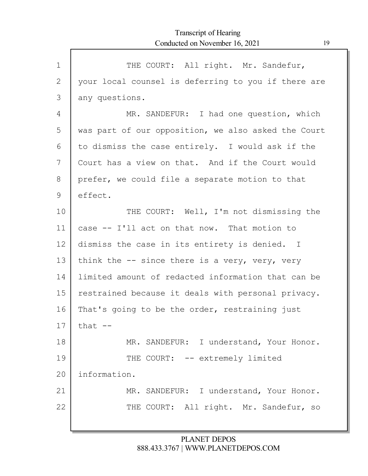$\mathsf{l}$ 

| $\mathbf 1$     | THE COURT: All right. Mr. Sandefur,                 |
|-----------------|-----------------------------------------------------|
| $\mathbf{2}$    | your local counsel is deferring to you if there are |
| 3               | any questions.                                      |
| 4               | MR. SANDEFUR: I had one question, which             |
| 5               | was part of our opposition, we also asked the Court |
| 6               | to dismiss the case entirely. I would ask if the    |
| 7               | Court has a view on that. And if the Court would    |
| 8               | prefer, we could file a separate motion to that     |
| 9               | effect.                                             |
| 10              | THE COURT: Well, I'm not dismissing the             |
| 11              | case -- I'll act on that now. That motion to        |
| 12 <sup>°</sup> | dismiss the case in its entirety is denied. I       |
| 13              | think the $-$ - since there is a very, very, very   |
| 14              | limited amount of redacted information that can be  |
| 15              | restrained because it deals with personal privacy.  |
| 16              | That's going to be the order, restraining just      |
| 17              | that $--$                                           |
| 18              | MR. SANDEFUR: I understand, Your Honor.             |
| 19              | THE COURT: -- extremely limited                     |
| 20              | information.                                        |
| 21              | MR. SANDEFUR: I understand, Your Honor.             |
| 22              | THE COURT: All right. Mr. Sandefur, so              |
|                 |                                                     |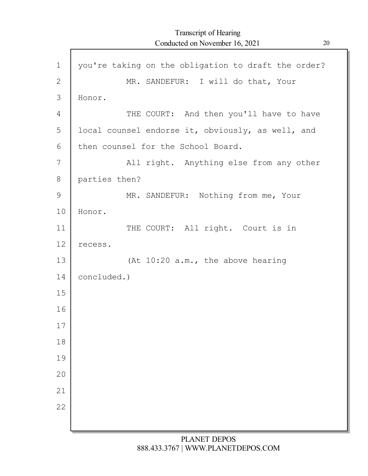| $\mathbf 1$ | you're taking on the obligation to draft the order? |
|-------------|-----------------------------------------------------|
| 2           | MR. SANDEFUR: I will do that, Your                  |
| 3           | Honor.                                              |
| 4           | THE COURT: And then you'll have to have             |
| 5           | local counsel endorse it, obviously, as well, and   |
| 6           | then counsel for the School Board.                  |
| 7           | All right. Anything else from any other             |
| 8           | parties then?                                       |
| 9           | MR. SANDEFUR: Nothing from me, Your                 |
| 10          | Honor.                                              |
| 11          | THE COURT: All right. Court is in                   |
| 12          | recess.                                             |
| 13          | (At 10:20 a.m., the above hearing                   |
| 14          | concluded.)                                         |
| 15          |                                                     |
| 16          |                                                     |
| 17          |                                                     |
| 18          |                                                     |
| 19          |                                                     |
| 20          |                                                     |
| 21          |                                                     |
| 22          |                                                     |
|             |                                                     |
|             |                                                     |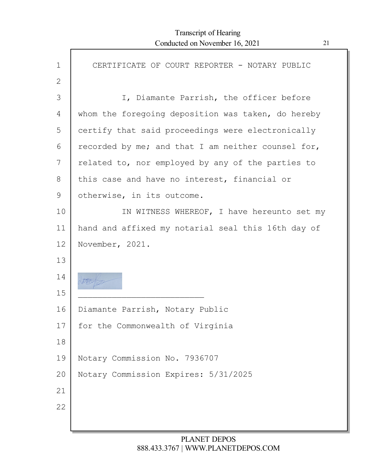Г

| $\mathbf 1$ | CERTIFICATE OF COURT REPORTER - NOTARY PUBLIC      |
|-------------|----------------------------------------------------|
| 2           |                                                    |
| 3           | I, Diamante Parrish, the officer before            |
| 4           | whom the foregoing deposition was taken, do hereby |
| 5           | certify that said proceedings were electronically  |
| 6           | recorded by me; and that I am neither counsel for, |
| 7           | related to, nor employed by any of the parties to  |
| 8           | this case and have no interest, financial or       |
| 9           | otherwise, in its outcome.                         |
| 10          | IN WITNESS WHEREOF, I have hereunto set my         |
| 11          | hand and affixed my notarial seal this 16th day of |
| 12          | November, 2021.                                    |
| 13          |                                                    |
| 14          |                                                    |
| 15          |                                                    |
| 16          | Diamante Parrish, Notary Public                    |
| 17          | for the Commonwealth of Virginia                   |
| 18          |                                                    |
| 19          | Notary Commission No. 7936707                      |
| 20          | Notary Commission Expires: 5/31/2025               |
| 21          |                                                    |
| 22          |                                                    |
|             |                                                    |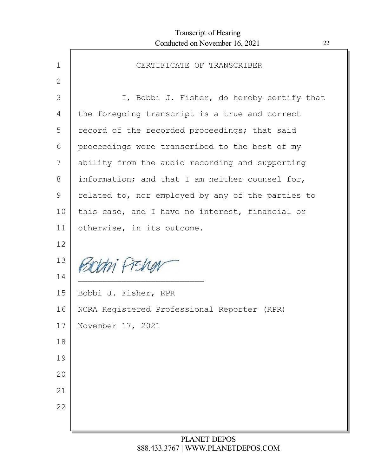| $\mathbf 1$ | CERTIFICATE OF TRANSCRIBER                        |
|-------------|---------------------------------------------------|
| 2           |                                                   |
| 3           | I, Bobbi J. Fisher, do hereby certify that        |
| 4           | the foregoing transcript is a true and correct    |
| 5           | record of the recorded proceedings; that said     |
| 6           | proceedings were transcribed to the best of my    |
| 7           | ability from the audio recording and supporting   |
| 8           | information; and that I am neither counsel for,   |
| 9           | related to, nor employed by any of the parties to |
| 10          | this case, and I have no interest, financial or   |
| 11          | otherwise, in its outcome.                        |
| 12          |                                                   |
| 13          | PEODIN FIED                                       |
| 14          |                                                   |
| 15          | Bobbi J. Fisher, RPR                              |
| 16          | NCRA Registered Professional Reporter (RPR)       |
| $17$        | November 17, 2021                                 |
| 18          |                                                   |
| 19          |                                                   |
| 20          |                                                   |
| 21          |                                                   |
| 22          |                                                   |
|             |                                                   |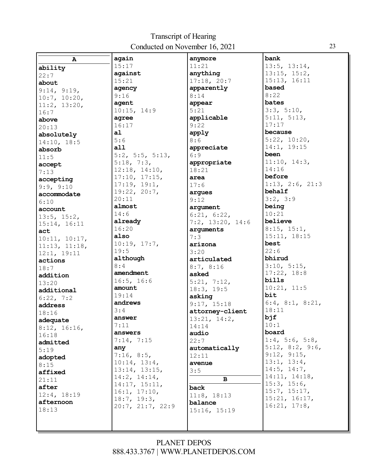| A                 | again            | anymore                  | bank                         |
|-------------------|------------------|--------------------------|------------------------------|
| ability           | 15:17            | 11:21                    | 13:5, 13:14,                 |
| 22:7              | against          | anything                 | 13:15, 15:2,                 |
| about             | 15:21            | 17:18, 20:7              | 15:13, 16:11                 |
| 9:14, 9:19,       | agency           | apparently               | based                        |
| 10:7, 10:20,      | 9:16             | 8:14                     | 8:22                         |
| 11:2, 13:20,      | agent            | appear                   | bates                        |
| 16:7              | 10:15, 14:9      | 5:21                     | 3:3, 5:10,                   |
| above             | agree            | applicable               | 5:11, 5:13,                  |
| 20:13             | 16:17            | 9:22                     | 17:17                        |
| absolutely        | a1               | apply                    | because                      |
| 14:10, 18:5       | 5:6              | 8:6                      | 5:22, 10:20,                 |
| absorb            | a11              | appreciate               | 14:1, 19:15                  |
|                   | 5:2, 5:5, 5:13,  | 6:9                      | been                         |
| 11:5              | 5:18, 7:3,       | appropriate              | 11:10, 14:3,                 |
| accept<br>7:13    | 12:18, 14:10,    | 18:21                    | 14:16                        |
|                   | 17:10, 17:15,    | area                     | before                       |
| accepting         | 17:19, 19:1,     | 17:6                     | 1:13, 2:6, 21:3              |
| 9:9, 9:10         | 19:22, 20:7,     | argues                   | behalf                       |
| accommodate       | 20:11            | 9:12                     | 3:2, 3:9                     |
| 6:10              | almost           | argument                 | being                        |
| account           | 14:6             | 6:21, 6:22,              | 10:21                        |
| $13:5$ , $15:2$ , | already          | $7:2$ , $13:20$ , $14:6$ | believe                      |
| 15:14, 16:11      | 16:20            | arguments                | 8:15, 15:1,                  |
| act               | also             | 7:3                      | 15:11, 18:15                 |
| 10:11, 10:17,     | 10:19, 17:7,     | arizona                  | best                         |
| 11:13, 11:18,     | 19:5             | 3:20                     | 22:6                         |
| 12:1, 19:11       | although         | articulated              | bhirud                       |
| actions           | 8:4              |                          | 3:10, 5:15,                  |
| 18:7              | amendment        | 8:7, 8:16                | 17:22, 18:8                  |
| addition          | 16:5, 16:6       | asked                    | bills                        |
| 13:20             | amount           | 5:21, 7:12,              | 10:21, 11:5                  |
| additional        | 19:14            | 18:3, 19:5               | bit                          |
| 6:22, 7:2         | andrews          | asking                   | 6:4, 8:1, 8:21,              |
| address           | 3:4              | 9:17, 15:18              | 18:11                        |
| 18:16             |                  | attorney-client          | bjf                          |
| adequate          | answer           | 13:21, 14:2,             | 10:1                         |
| 8:12, 16:16,      | 7:11             | 14:14                    | board                        |
| 16:18             | answers          | audio                    | $1:4$ , 5:6, 5:8,            |
| admitted          | 7:14, 7:15       | 22:7                     |                              |
| 5:19              | any              | automatically            | $5:12$ , $8:2$ , $9:6$ ,     |
| adopted           | 7:16, 8:5,       | 12:11                    | 9:12, 9:15,<br>13:1, 13:4,   |
| 8:15              | 10:14, 13:4,     | avenue                   |                              |
| affixed           | 13:14, 13:15,    | 3:5                      | 14:5, 14:7,<br>14:11, 14:18, |
| 21:11             | 14:2, 14:14,     | в                        |                              |
| after             | 14:17, 15:11,    | back                     | 15:3, 15:6,<br>15:7, 15:17,  |
| 12:4, 18:19       | 16:1, 17:10,     | 11:8, 18:13              | 15:21, 16:17,                |
| afternoon         | 18:7, 19:3,      | balance                  | 16:21, 17:8,                 |
| 18:13             | 20:7, 21:7, 22:9 | 15:16, 15:19             |                              |
|                   |                  |                          |                              |
|                   |                  |                          |                              |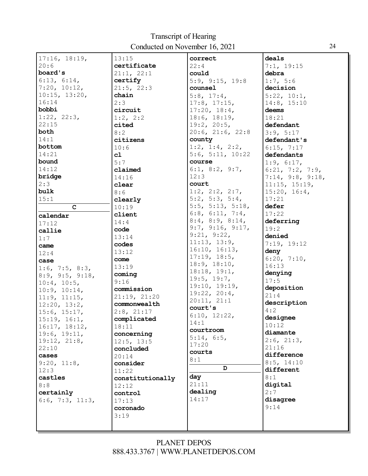| 17:16, 18:19,     | 13:15            | correct                  | deals                         |
|-------------------|------------------|--------------------------|-------------------------------|
| 20:6              | certificate      | 22:4                     | 7:1, 19:15                    |
| board's           | 21:1, 22:1       | could                    | debra                         |
| 6:13, 6:14,       | certify          | 5:9, 9:15, 19:8          | 1:7, 5:6                      |
| 7:20, 10:12,      | 21:5, 22:3       | counsel                  | decision                      |
| 10:15, 13:20,     | chain            | $5:8$ , $17:4$ ,         | 5:22, 10:1,                   |
| 16:14             | 2:3              | $17:8$ , $17:15$ ,       | 14:8, 15:10                   |
| bobbi             | circuit          | 17:20, 18:4,             | deems                         |
| 1:22, 22:3,       | 1:2, 2:2         | 18:6, 18:19,             | 18:21                         |
| 22:15             | cited            | 19:2, 20:5,              | defendant                     |
| both              | 8:2              | $20:6$ , $21:6$ , $22:8$ | 3:9, 5:17                     |
| 14:1              | citizens         | county                   | defendant's                   |
| bottom            | 10:6             | 1:2, 1:4, 2:2,           | 6:15, 7:17                    |
| 14:21             | c1               | 5:6, 5:11, $10:22$       | defendants                    |
| bound             | 5:7              | course                   | 1:9, 6:17,                    |
| 14:12             | claimed          | 6:1, 8:2, 9:7,           | 6:21, 7:2, 7:9,               |
| bridge            | 14:16            | 12:3                     | 7:14, 9:8, 9:18,              |
| 2:3               |                  | court                    |                               |
| bulk              | clear            | $1:2$ , $2:2$ , $2:7$ ,  | 11:15, 15:19,<br>15:20, 16:4, |
|                   | 8:6              | 5:2, 5:3, 5:4,           | 17:21                         |
| 15:1              | clearly          |                          |                               |
| C                 | 10:19            | 5:5, 5:13, 5:18,         | defer                         |
| calendar          | client           | 6:8, 6:11, 7:4,          | 17:22                         |
| 17:12             | 14:4             | $8:4$ , $8:9$ , $8:14$ , | deferring                     |
| callie            | code             | 9:7, 9:16, 9:17,         | 19:2                          |
| 1:7               | 13:14            | 9:21, 9:22,              | denied                        |
| came              | codes            | 11:13, 13:9,             | 7:19, 19:12                   |
| 12:4              | 13:12            | 16:10, 16:13,            | deny                          |
| case              | come             | 17:19, 18:5,             | 6:20, 7:10,                   |
| $1:6$ , 7:5, 8:3, | 13:19            | 18:9, 18:10,             | 16:13                         |
| 8:9, 9:5, 9:18,   | coming           | 18:18, 19:1,             | denying                       |
| 10:4, 10:5,       | 9:16             | 19:5, 19:7,              | 17:5                          |
| 10:9, 10:14,      | commission       | 19:10, 19:19,            | deposition                    |
| 11:9, 11:15,      | 21:19, 21:20     | 19:22, 20:4,             | 21:4                          |
| 12:20, 13:2,      | commonwealth     | 20:11, 21:1              | description                   |
| 15:6, 15:17,      | 2:8, 21:17       | court's                  | 4:2                           |
| 15:19, 16:1,      | complicated      | 6:10, 12:22,             | designee                      |
| 16:17, 18:12,     | 18:11            | 14:1                     | 10:12                         |
| 19:6, 19:11,      | concerning       | courtroom                | diamante                      |
| 19:12, 21:8,      | 12:5, 13:5       | 5:14, 6:5,               | $2:6$ , $21:3$ ,              |
| 22:10             | concluded        | 17:20                    | 21:16                         |
| cases             | 20:14            | courts                   | difference                    |
| 9:20, 11:8,       | consider         | 8:1                      | 8:5, 14:10                    |
| 12:3              |                  | D                        | different                     |
| castles           | 11:22            | day                      | 8:1                           |
|                   | constitutionally | 21:11                    | digital                       |
| 8:8               | 12:12            | dealing                  | 2:7                           |
| certainly         | control          | 14:17                    |                               |
| 6:6, 7:3, 11:3,   | 17:13            |                          | disagree                      |
|                   | coronado         |                          | 9:14                          |
|                   | 3:19             |                          |                               |
|                   |                  |                          |                               |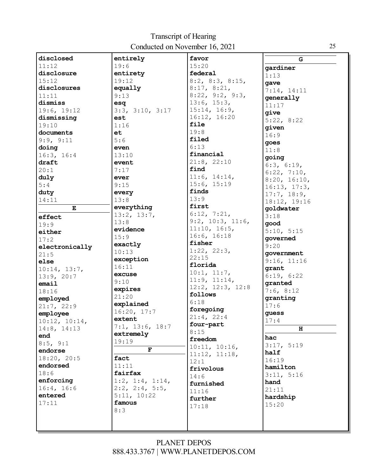| disclosed      | entirely                 | favor                     | ${\mathbf G}$ |
|----------------|--------------------------|---------------------------|---------------|
| 11:12          | 19:6                     | 15:20                     | gardiner      |
| disclosure     | entirety                 | federal                   | 1:13          |
| 15:12          | 19:12                    | $8:2$ , $8:3$ , $8:15$ ,  | qave          |
| disclosures    | equally                  | 8:17, 8:21,               | 7:14, 14:11   |
| 11:11          | 9:13                     | 8:22, 9:2, 9:3,           | generally     |
| dismiss        | esq                      | 13:6, 15:3,               | 11:17         |
| 19:6, 19:12    | 3:3, 3:10, 3:17          | 15:14, 16:9,              | qive          |
| dismissing     | est                      | 16:12, 16:20              | 5:22, 8:22    |
| 19:10          | 1:16                     | file                      | given         |
| documents      | et                       | 19:8                      | 16:9          |
| 9:9, 9:11      | 5:6                      | filed                     | goes          |
| doing          | even                     | 6:13                      | 11:8          |
| 16:3, 16:4     | 13:10                    | financial                 | qoinq         |
| draft          | event                    | 21:8, 22:10               | 6:3, 6:19,    |
| 20:1           | 7:17                     | find                      | 6:22, 7:10,   |
| duly           | ever                     | 11:6, 14:14,              | 8:20, 16:10,  |
| 5:4            | 9:15                     | 15:6, 15:19               | 16:13, 17:3,  |
| duty           | every                    | finds                     | 17:7, 18:9,   |
| 14:11          | 13:8                     | 13:9                      | 18:12, 19:16  |
| E              | everything               | first                     | qoldwater     |
| effect         | 13:2, 13:7,              | 6:12, 7:21,               | 3:18          |
| 19:9           | 13:8                     | $9:2$ , $10:3$ , $11:6$ , | good          |
| either         | evidence                 | 11:10, 16:5,              | 5:10, 5:15    |
| 17:2           | 15:9                     | 16:6, 16:18               | qoverned      |
| electronically | exactly                  | fisher                    | 9:20          |
| 21:5           | 10:13                    | 1:22, 22:3,               | government    |
| else           | exception                | 22:15                     | 9:16, 11:16   |
| 10:14, 13:7,   | 16:11                    | florida                   | grant         |
| 13:9, 20:7     | excuse                   | 10:1, 11:7,               | 6:19, 6:22    |
| email          | 9:10                     | 11:9, 11:14,              | granted       |
| 18:16          | expires                  | 12:2, 12:3, 12:8          | 7:6, 8:12     |
| employed       | 21:20                    | follows                   | granting      |
| 21:7, 22:9     | explained                | 6:18                      | 17:6          |
| employee       | 16:20, 17:7              | foregoing                 | quess         |
| 10:12, 10:14,  | extent                   | 21:4, 22:4                | 17:4          |
| 14:8, 14:13    | 7:1, 13:6, 18:7          | four-part                 | н             |
| end            | extremely                | 8:15                      | hac           |
| 8:5, 9:1       | 19:19                    | freedom                   | 3:17, 5:19    |
| endorse        | F                        | 10:11, 10:16,             | half          |
| 18:20, 20:5    | fact                     | 11:12, 11:18,             | 16:19         |
| endorsed       | 11:11                    | 12:1                      | hamilton      |
| 18:6           | fairfax                  | frivolous                 | 3:11, 5:16    |
| enforcing      | $1:2$ , $1:4$ , $1:14$ , | 14:6<br>furnished         | hand          |
| 16:4, 16:6     | $2:2$ , $2:4$ , $5:5$ ,  | 11:16                     | 21:11         |
| entered        | 5:11, 10:22              | further                   | hardship      |
| 17:11          | famous                   |                           | 15:20         |
|                | 8:3                      | 17:18                     |               |
|                |                          |                           |               |
|                |                          |                           |               |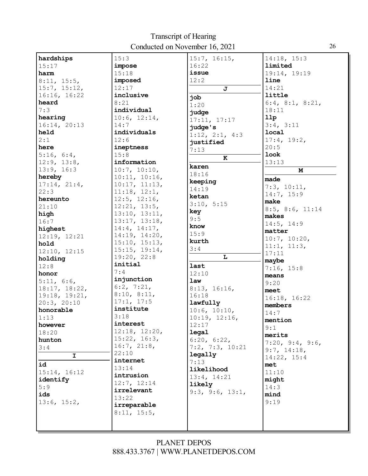| hardships     | 15:3               | 15:7, 16:15,            | 14:18, 15:3                    |
|---------------|--------------------|-------------------------|--------------------------------|
| 15:17         | impose             | 16:22                   | limited                        |
| harm          | 15:18              | issue                   | 19:14, 19:19                   |
| 8:11, 15:5,   | imposed            | 12:2                    | line                           |
| 15:7, 15:12,  | 12:17              | $\overline{\mathbf{J}}$ | 14:21                          |
| 16:16, 16:22  | inclusive          | dor                     | little                         |
| heard         | 8:21               | 1:20                    | 6:4, 8:1, 8:21,                |
| 7:3           | individual         | judge                   | 18:11                          |
| hearing       | 10:6, 12:14,       | 17:11, 17:17            | 11p                            |
| 16:14, 20:13  | 14:7               | judge's                 | 3:4, 3:11                      |
| held          | individuals        | 1:12, 2:1, 4:3          | local                          |
| 2:1           | 12:6               | justified               | 17:4, 19:2,                    |
| here          | ineptness          | 7:13                    | 20:5                           |
| 5:16, 6:4,    | 15:8               | $\bf K$                 | <b>look</b>                    |
| 12:9, 13:8,   | information        |                         | 13:13                          |
| 13:9, 16:3    | 10:7, 10:10,       | karen                   | M                              |
| hereby        | 10:11, 10:16,      | 18:16                   | made                           |
| 17:14, 21:4,  | 10:17, 11:13,      | keeping                 | 7:3, 10:11,                    |
| 22:3          | 11:18, 12:1,       | 14:19                   | 14:7, 15:9                     |
| hereunto      | $12:5$ , $12:16$ , | ketan                   | make                           |
| 21:10         | 12:21, 13:5,       | 3:10, 5:15              | 8:5, 8:6, 11:14                |
| high          | 13:10, 13:11,      | key                     | makes                          |
| 16:7          | 13:17, 13:18,      | 9:5                     | 14:5, 14:9                     |
| highest       | 14:4, 14:17,       | know                    | matter                         |
| 12:19, 12:21  | 14:19, 14:20,      | 15:9                    | 10:7, 10:20,                   |
| hold          | 15:10, 15:13,      | kurth                   | 11:1, 11:3,                    |
| 12:10, 12:15  | 15:15, 19:14,      | 3:4                     | 17:11                          |
| holding       | 19:20, 22:8        | L                       | maybe                          |
|               |                    |                         |                                |
| 12:8          | initial            | last                    |                                |
| honor         | 7:4                | 12:10                   | 7:16, 15:8<br>means            |
| 5:11, 6:6,    | injunction         | law                     | 9:20                           |
| 18:17, 18:22, | 6:2, 7:21,         | 8:13, 16:16,            | meet                           |
| 19:18, 19:21, | 8:10, 8:11,        | 16:18                   |                                |
| 20:3, 20:10   | 17:1, 17:5         | lawfully                | 16:18, 16:22<br>members        |
| honorable     | institute          | 10:6, 10:10,            | 14:7                           |
| 1:13          | 3:18               | 10:19, 12:16,           | mention                        |
| however       | interest           | 12:17                   |                                |
| 18:20         | 12:18, 12:20,      | legal                   | 9:1<br>merits                  |
| hunton        | 15:22, 16:3,       | 6:20, 6:22,             |                                |
| 3:4           | 16:7, 21:8,        | $7:2$ , $7:3$ , $10:21$ | 7:20, 9:4, 9:6,<br>9:7, 14:18, |
| $\mathbf I$   | 22:10              | legally                 | 14:22, 15:4                    |
| id            | internet           | 7:13                    | met                            |
| 15:14, 16:12  | 13:14              | likelihood              | 11:10                          |
| identify      | intrusion          | 13:4, 14:21             | might                          |
| 5:9           | 12:7, 12:14        | likely                  | 14:3                           |
| ids           | irrelevant         | 9:3, 9:6, 13:1,         | mind                           |
| 13:6, 15:2,   | 13:22              |                         | 9:19                           |
|               | irreparable        |                         |                                |
|               | 8:11, 15:5,        |                         |                                |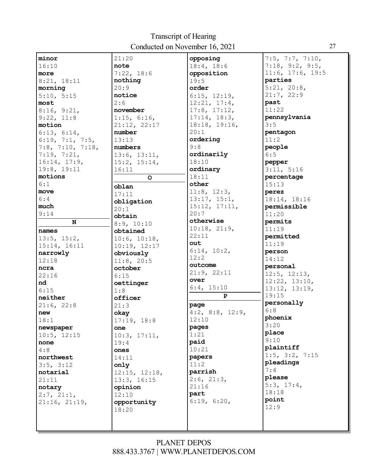| minor                     | 21:20              | opposing                 | $7:5$ , $7:7$ , $7:10$ , |
|---------------------------|--------------------|--------------------------|--------------------------|
| 16:10                     | note               | 18:4, 18:6               | 7:18, 9:2, 9:5,          |
| more                      | 7:22, 18:6         | opposition               | $11:6$ , $17:6$ , $19:5$ |
| 8:21, 18:11               | nothing            | 19:5                     | parties                  |
| morning                   | 20:9               | order                    | 5:21, 20:8,              |
| 5:10, 5:15                | notice             | 6:15, 12:19,             | 21:7, 22:9               |
| most                      | 2:6                | 12:21, 17:4,             | past                     |
| 8:16, 9:21,               | november           | $17:8$ , $17:12$ ,       | 11:22                    |
| 9:22, 11:8                | 1:15, 6:16,        | 17:14, 18:3,             | pennsylvania             |
| motion                    | 21:12, 22:17       | 18:18, 19:16,            | 3:5                      |
| 6:13, 6:14,               | number             | 20:1                     | pentagon                 |
| 6:19, 7:1, 7:5,           | 13:13              | ordering                 | 11:2                     |
| $7:8$ , $7:10$ , $7:18$ , | numbers            | 9:8                      | people                   |
| 7:19, 7:21,               | 13:6, 13:11,       | ordinarily               | 6:5                      |
| 16:14, 17:9,              | 15:2, 15:14,       | 18:10                    | pepper                   |
| 19:8, 19:11               | 16:11              | ordinary                 | 3:11, 5:16               |
| motions                   | O                  | 18:11                    | percentage               |
| 6:1                       | oblan              | other                    | 15:13                    |
| move                      | 17:11              | $11:8$ , $12:3$ ,        | perez                    |
| 6:4                       |                    | 13:17, 15:1,             | 18:14, 18:16             |
| much                      | obligation<br>20:1 | 15:12, 17:11,            | permissible              |
| 9:14                      |                    | 20:7                     | 11:20                    |
| ${\bf N}$                 | obtain             | otherwise                | permits                  |
|                           | 8:9, 10:10         | 10:18, 21:9,             | 11:19                    |
| names                     | obtained           | 22:11                    | permitted                |
| 13:5, 15:2,               | 10:6, 10:18,       | out                      | 11:19                    |
| 15:14, 16:11              | 10:19, 12:17       | 6:14, 10:2,              | person                   |
| narrowly                  | obviously          | 12:2                     | 14:12                    |
| 12:18                     | 11:8, 20:5         | outcome                  | personal                 |
| ncra                      | october            | 21:9, 22:11              | $12:5$ , $12:13$ ,       |
| 22:16                     | 6:15               | over                     | 12:22, 13:10,            |
| nd                        | oettinger          | 6:4, 15:10               | 13:12, 13:19,            |
| 6:15                      | 1:8                | ${\bf P}$                | 19:15                    |
| neither                   | officer            |                          | personally               |
| 21:6, 22:8                | 21:3               | page                     | 6:8                      |
| new                       | okay               | $4:2$ , $8:8$ , $12:9$ , | phoenix                  |
| 18:1                      | 17:19, 18:8        | 12:10                    | 3:20                     |
| newspaper                 | one                | pages                    | place                    |
| 10:5, 12:15               | 10:3, 17:11,       | 1:21                     | 9:10                     |
| none                      | 19:4               | paid                     | plaintiff                |
| 4:8                       | ones               | 10:21                    | $1:5$ , $3:2$ , $7:15$   |
| northwest                 | 14:11              | papers                   | pleadings                |
| 3:5, 3:12                 | only               | 11:2                     | 7:4                      |
| notarial                  | 12:15, 12:18,      | parrish                  | please                   |
| 21:11                     | 13:3, 16:15        | $2:6$ , $21:3$ ,         | 5:3, 17:4,               |
| notary                    | opinion            | 21:16                    | 18:18                    |
| 2:7, 21:1,                | 12:10              | part                     |                          |
| 21:16, 21:19,             | opportunity        | 6:19, 6:20,              | point                    |
|                           | 18:20              |                          | 12:9                     |
|                           |                    |                          |                          |
|                           |                    |                          |                          |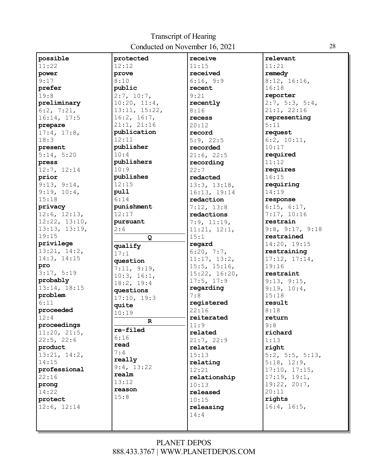| possible      | protected     | receive            | relevant                 |
|---------------|---------------|--------------------|--------------------------|
| 11:22         | 12:12         | 11:15              | 11:21                    |
| power         | prove         | received           | remedy                   |
| 9:17          | 8:10          | 6:16, 9:9          | 8:12, 16:16,             |
| prefer        | public        | recent             | 16:18                    |
| 19:8          | 2:7, 10:7,    | 9:21               | reporter                 |
| preliminary   | 10:20, 11:4,  | recently           | 2:7, 5:3, 5:4,           |
| 6:2, 7:21,    | 13:11, 15:22, | 8:16               | 21:1, 22:16              |
| 16:14, 17:5   | 16:2, 16:7,   | recess             | representing             |
| prepare       | 21:1, 21:16   | 20:12              | 5:11                     |
| 17:4, 17:8,   | publication   | record             | request                  |
| 18:3          | 12:11         | 5:9, 22:5          | 6:2, 10:11,              |
| present       | publisher     | recorded           | 10:17                    |
| 5:14, 5:20    | 10:4          | 21:6, 22:5         | required                 |
| press         | publishers    | recording          | 11:12                    |
| 12:7, 12:14   | 10:9          | 22:7               | requires                 |
| prior         | publishes     | redacted           | 16:15                    |
| 9:13, 9:14,   | 12:15         | 13:3, 13:18,       | requiring                |
| 9:19, 10:4,   | pull          | 16:13, 19:14       | 14:19                    |
| 15:18         | 6:14          | redaction          | response                 |
| privacy       | punishment    | 7:12, 13:8         | 6:15, 6:17,              |
| 12:6, 12:13,  | 12:17         | redactions         | 7:17, 10:16              |
| 12:22, 13:10, | pursuant      | 7:9, 11:19,        | restrain                 |
| 13:13, 13:19, | 2:6           | 11:21, 12:1,       | 9:8, 9:17, 9:18          |
| 19:15         | $\mathbf Q$   | 15:1               | restrained               |
| privilege     |               | regard             | 14:20, 19:15             |
| 13:21, 14:2,  | qualify       | 6:20, 7:7,         | restraining              |
| 14:3, 14:15   | 17:1          | 11:17, 13:2,       | 17:12, 17:14,            |
| pro           | question      | $15:5$ , $15:16$ , | 19:16                    |
| 3:17, 5:19    | 7:11, 9:19,   | 15:22, 16:20,      | restraint                |
| probably      | 10:3, 16:1,   | 17:5, 17:9         | 9:13, 9:15,              |
| 13:14, 18:15  | 18:2, 19:4    | regarding          | 9:19, 10:4,              |
| problem       | questions     | 7:8                | 15:18                    |
| 6:11          | 17:10, 19:3   | registered         | result                   |
| proceeded     | quite         | 22:16              | 8:18                     |
| 12:4          | 10:19         | reiterated         | return                   |
| proceedings   | $\mathbf R$   | 11:9               | 9:8                      |
| 11:20, 21:5,  | re-filed      | related            | richard                  |
| 22:5, 22:6    | 6:16          | 21:7, 22:9         | 1:13                     |
| product       | read          | relates            | right                    |
| 13:21, 14:2,  | 7:4           | 15:13              | $5:2$ , $5:5$ , $5:13$ , |
| 14:15         | really        | relating           | 5:18, 12:9,              |
| professional  | 9:4, 13:22    | 12:21              | 17:10, 17:15,            |
| 22:16         | realm         | relationship       | 17:19, 19:1,             |
| prong         | 13:12         | 10:13              | 19:22, 20:7,             |
| 14:22         | reason        | released           | 20:11                    |
| protect       | 15:8          | 10:15              | rights                   |
| 12:6, 12:14   |               | releasing          | 16:4, 16:5,              |
|               |               | 14:4               |                          |
|               |               |                    |                          |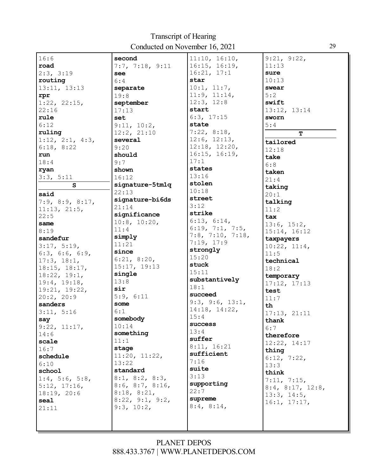| 16:6                     | second                   | 11:10, 16:10,             | 9:21, 9:22,               |
|--------------------------|--------------------------|---------------------------|---------------------------|
| road                     | 7:7, 7:18, 9:11          | 16:15, 16:19,             | 11:13                     |
| 2:3, 3:19                | see                      | 16:21, 17:1               | sure                      |
| routing                  | 6:4                      | star                      | 10:13                     |
| 13:11, 13:13             | separate                 | 10:1, 11:7,               | swear                     |
| rpr                      | 19:8                     | 11:9, 11:14,              | 5:2                       |
| 1:22, 22:15,             | september                | 12:3, 12:8                | swift                     |
| 22:16                    | 17:13                    | start                     | 13:12, 13:14              |
| rule                     | set                      | 6:3, 17:15                | sworn                     |
| 6:12                     | 9:11, 10:2,              | state                     | 5:4                       |
| ruling                   | 12:2, 21:10              | 7:22, 8:18,               | T                         |
| $1:12$ , $2:1$ , $4:3$ , | several                  | 12:6, 12:13,              |                           |
| 6:18, 8:22               | 9:20                     | $12:18$ , $12:20$ ,       | tailored                  |
| run                      | should                   | 16:15, 16:19,             | 12:18                     |
| 18:4                     | 9:7                      | 17:1                      | take                      |
| ryan                     | shown                    | states                    | 6:8                       |
| 3:3, 5:11                | 16:12                    | 13:16                     | taken                     |
| S                        | signature-5tmlq          | stolen                    | 21:4                      |
|                          | 22:13                    | 10:18                     | taking                    |
| said                     | signature-bi6ds          | street                    | 20:1                      |
| 7:9, 8:9, 8:17,          | 21:14                    | 3:12                      | talking                   |
| 11:13, 21:5,             | significance             | strike                    | 11:2                      |
| 22:5                     | $10:8$ , $10:20$ ,       | 6:13, 6:14,               | tax                       |
| same                     | 11:4                     | 6:19, 7:1, 7:5,           | 13:6, 15:2,               |
| 8:19                     | simply                   | $7:8$ , $7:10$ , $7:18$ , | 15:14, 16:12              |
| sandefur                 |                          | 7:19, 17:9                | taxpayers                 |
| 3:17, 5:19,              | 11:21                    | strongly                  | 10:22, 11:4,              |
| $6:3$ , $6:6$ , $6:9$ ,  | since                    | 15:20                     | 11:5                      |
| 17:3, 18:1,              | 6:21, 8:20,              | stuck                     | technical                 |
| 18:15, 18:17,            | 15:17, 19:13             | 15:11                     | 18:2                      |
| 18:22, 19:1,             | single                   | substantively             | temporary                 |
| 19:4, 19:18,             | 13:8                     | 18:1                      | 17:12, 17:13              |
| 19:21, 19:22,            | sir                      | succeed                   | test                      |
| 20:2, 20:9               | 5:9, 6:11                | 9:3, 9:6, 13:1,           | 11:7                      |
| sanders                  | some                     | 14:18, 14:22,             | th                        |
| 3:11, 5:16               | 6:1                      | 15:4                      | 17:13, 21:11              |
| say                      | somebody                 | success                   | thank                     |
| 9:22, 11:17,             | 10:14                    | 13:4                      | 6:7                       |
| 14:6                     | something                | suffer                    | therefore                 |
| scale                    | 11:1                     | 8:11, 16:21               | 12:22, 14:17              |
| 16:7                     | stage                    | sufficient                | thing                     |
| schedule                 | 11:20, 11:22,            | 7:16                      | 6:12, 7:22,               |
| 6:10                     | 13:22                    | suite                     | 13:3                      |
| school                   | standard                 | 3:13                      | think                     |
| $1:4$ , 5:6, 5:8,        | $8:1$ , $8:2$ , $8:3$ ,  |                           | 7:11, 7:15,               |
| 5:12, 17:16,             | $8:6$ , $8:7$ , $8:16$ , | supporting<br>22:7        | $8:4$ , $8:17$ , $12:8$ , |
| 18:19, 20:6              | 8:18, 8:21,              | supreme                   | 13:3, 14:5,               |
| seal                     | 8:22, 9:1, 9:2,          |                           | 16:1, 17:17,              |
| 21:11                    | 9:3, 10:2,               | 8:4, 8:14,                |                           |
|                          |                          |                           |                           |
|                          |                          |                           |                           |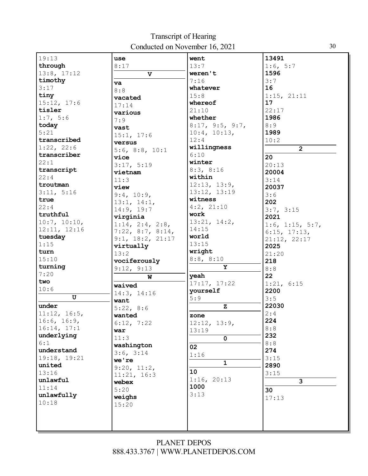| 19:13        | use                       | went            | 13491                   |
|--------------|---------------------------|-----------------|-------------------------|
| through      | 8:17                      | 13:7            | 1:6, 5:7                |
| 13:8, 17:12  | $\mathbf v$               | weren't         | 1596                    |
| timothy      |                           | 7:16            | 3:7                     |
| 3:17         | va                        | whatever        | 16                      |
| tiny         | 8:8                       | 15:8            | 1:15, 21:11             |
| 15:12, 17:6  | vacated                   | whereof         | 17                      |
| tisler       | 17:14                     | 21:10           | 22:17                   |
| 1:7, 5:6     | various                   | whether         | 1986                    |
| today        | 7:9                       | 8:17, 9:5, 9:7, | 8:9                     |
| 5:21         | vast                      | 10:4, 10:13,    | 1989                    |
| transcribed  | 15:1, 17:6                | 12:4            | 10:2                    |
| 1:22, 22:6   | versus                    | willingness     |                         |
| transcriber  | $5:6$ , $8:8$ , $10:1$    | 6:10            | $\overline{2}$          |
|              | vice                      |                 | 20                      |
| 22:1         | 3:17, 5:19                | winter          | 20:13                   |
| transcript   | vietnam                   | 8:3, 8:16       | 20004                   |
| 22:4         | 11:3                      | within          | 3:14                    |
| troutman     | view                      | 12:13, 13:9,    | 20037                   |
| 3:11, 5:16   | 9:4, 10:9,                | 13:12, 13:19    | 3:6                     |
| true         | 13:1, 14:1,               | witness         | 202                     |
| 22:4         | 14:9, 19:7                | 4:2, 21:10      | 3:7, 3:15               |
| truthful     | virginia                  | work            | 2021                    |
| 10:7, 10:10, | $1:14$ , $2:4$ , $2:8$ ,  | 13:21, 14:2,    | 1:6, 1:15, 5:7,         |
| 12:11, 12:16 | $7:22$ , $8:7$ , $8:14$ , | 14:15           | 6:15, 17:13,            |
| tuesday      | 9:1, 18:2, 21:17          | world           | 21:12, 22:17            |
| 1:15         | virtually                 | 13:15           | 2025                    |
| turn         | 13:2                      | wright          | 21:20                   |
| 15:10        | vociferously              | 8:8, 8:10       | 218                     |
| turning      | 9:12, 9:13                | Y               | 8:8                     |
| 7:20         | W                         | yeah            | 22                      |
| two          | waived                    | 17:17, 17:22    | 1:21, 6:15              |
| 10:6         | 14:3, 14:16               | yourself        | 2200                    |
| $\mathbf U$  | want                      | 5:9             | 3:5                     |
| under        | 5:22, 8:6                 | $\mathbf z$     | 22030                   |
| 11:12, 16:5, | wanted                    | zone            | 2:4                     |
| 16:6, 16:9,  | 6:12, 7:22                | 12:12, 13:9,    | 224                     |
| 16:14, 17:1  | war                       | 13:19           | 8:8                     |
| underlying   | 11:3                      | $\mathbf{0}$    | 232                     |
| 6:1          | washington                | 02              | 8:8                     |
| understand   | 3:6, 3:14                 |                 | 274                     |
| 19:18, 19:21 | we're                     | 1:16            | 3:15                    |
| united       | 9:20, 11:2,               | $\mathbf{1}$    | 2890                    |
| 13:16        | 11:21, 16:3               | 10              | 3:15                    |
| unlawful     | webex                     | 1:16, 20:13     | $\overline{\mathbf{3}}$ |
| 11:14        | 5:20                      | 1000            | 30                      |
| unlawfully   | weighs                    | 3:13            | 17:13                   |
| 10:18        | 15:20                     |                 |                         |
|              |                           |                 |                         |
|              |                           |                 |                         |
|              |                           |                 |                         |

3 0